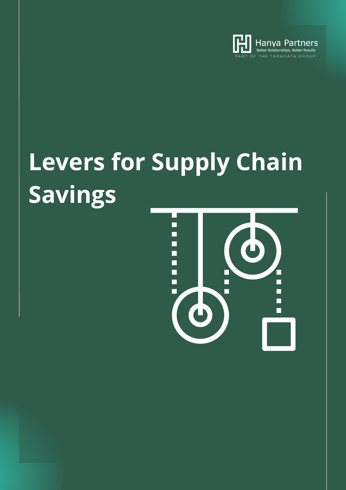

# **Levers for Supply Chain Savings**

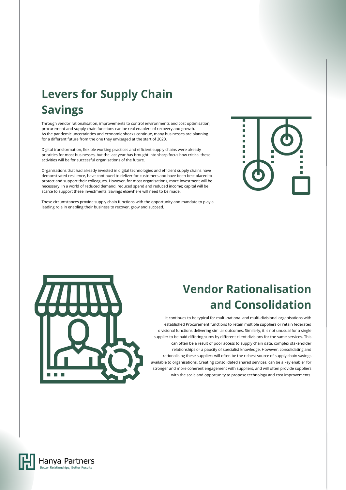## **Levers for Supply Chain Savings**

Through vendor rationalisation, improvements to control environments and cost optimisation, procurement and supply chain functions can be real enablers of recovery and growth. As the pandemic uncertainties and economic shocks continue, many businesses are planning for a different future from the one they envisaged at the start of 2020.

Digital transformation, flexible working practices and efficient supply chains were already priorities for most businesses, but the last year has brought into sharp focus how critical these activities will be for successful organisations of the future.

Organisations that had already invested in digital technologies and efficient supply chains have demonstrated resilience, have continued to deliver for customers and have been best placed to protect and support their colleagues. However, for most organisations, more investment will be necessary. In a world of reduced demand, reduced spend and reduced income; capital will be scarce to support these investments. Savings elsewhere will need to be made.

These circumstances provide supply chain functions with the opportunity and mandate to play a leading role in enabling their business to recover, grow and succeed.



### **Vendor Rationalisation and Consolidation**

It continues to be typical for multi-national and multi-divisional organisations with established Procurement functions to retain multiple suppliers or retain federated divisional functions delivering similar outcomes. Similarly, it is not unusual for a single supplier to be paid differing sums by different client divisions for the same services. This can often be a result of poor access to supply chain data, complex stakeholder relationships or a paucity of specialist knowledge. However, consolidating and rationalising these suppliers will often be the richest source of supply chain savings available to organisations. Creating consolidated shared services, can be a key enabler for stronger and more coherent engagement with suppliers, and will often provide suppliers with the scale and opportunity to propose technology and cost improvements.



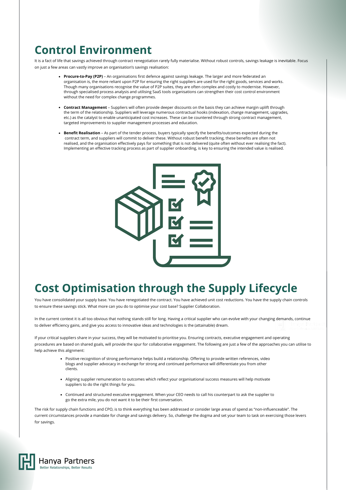#### **Control Environment**

It is a fact of life that savings achieved through contract renegotiation rarely fully materialise. Without robust controls, savings leakage is inevitable. Focus on just a few areas can vastly improve an organisation's savings realisation:

- **Procure-to-Pay (P2P)** An organisations first defence against savings leakage. The larger and more federated an organisation is, the more reliant upon P2P for ensuring the right suppliers are used for the right goods, services and works. Though many organisations recognise the value of P2P suites, they are often complex and costly to modernise. However, through specialised process analysis and utilising SaaS tools organisations can strengthen their cost control environment without the need for complex change programmes.
- **Contract Management** Suppliers will often provide deeper discounts on the basis they can achieve margin uplift through the term of the relationship. Suppliers will leverage numerous contractual hooks (indexation, change management, upgrades, etc.) as the catalyst to enable unanticipated cost increases. These can be countered through strong contract management, targeted improvements to supplier management processes and education.
- **Benefit Realisation**  As part of the tender process, buyers typically specify the benefits/outcomes expected during the contract term, and suppliers will commit to deliver these. Without robust benefit tracking, these benefits are often not realised, and the organisation effectively pays for something that is not delivered (quite often without ever realising the fact). Implementing an effective tracking process as part of supplier onboarding, is key to ensuring the intended value is realised.



#### **Cost Optimisation through the Supply Lifecycle**

You have consolidated your supply base. You have renegotiated the contract. You have achieved unit cost reductions. You have the supply chain controls to ensure these savings stick. What more can you do to optimise your cost base? Supplier Collaboration.

In the current context it is all too obvious that nothing stands still for long. Having a critical supplier who can evolve with your changing demands, continue to deliver efficiency gains, and give you access to innovative ideas and technologies is the (attainable) dream.

If your critical suppliers share in your success, they will be motivated to prioritise you. Ensuring contracts, executive engagement and operating procedures are based on shared goals, will provide the spur for collaborative engagement. The following are just a few of the approaches you can utilise to help achieve this alignment:

- Positive recognition of strong performance helps build a relationship. Offering to provide written references, video blogs and supplier advocacy in exchange for strong and continued performance will differentiate you from other clients.
- Aligning supplier remuneration to outcomes which reflect your organisational success measures will help motivate suppliers to do the right things for you.
- Continued and structured executive engagement. When your CEO needs to call his counterpart to ask the supplier to go the extra mile, you do not want it to be their first conversation.

The risk for supply chain functions and CPO, is to think everything has been addressed or consider large areas of spend as "non-influenceable". The current circumstances provide a mandate for change and savings delivery. So, challenge the dogma and set your team to task on exercising those levers for savings.